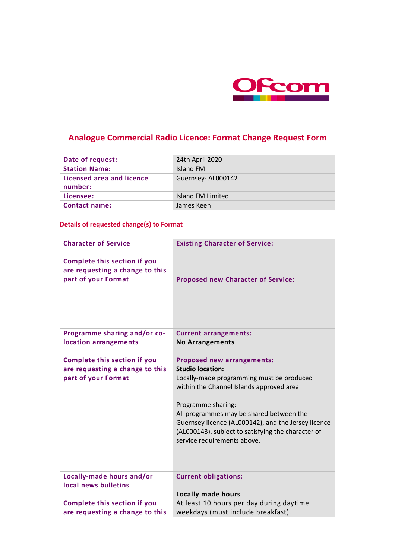

# **Analogue Commercial Radio Licence: Format Change Request Form**

| Date of request:                     | 24th April 2020   |
|--------------------------------------|-------------------|
| <b>Station Name:</b>                 | Island FM         |
| Licensed area and licence<br>number: | Guernsey-AL000142 |
| Licensee:                            | Island FM Limited |
| <b>Contact name:</b>                 | James Keen        |

### **Details of requested change(s) to Format**

| <b>Character of Service</b><br><b>Complete this section if you</b><br>are requesting a change to this | <b>Existing Character of Service:</b>                                                                                                                                                                                                                                                                                                                               |
|-------------------------------------------------------------------------------------------------------|---------------------------------------------------------------------------------------------------------------------------------------------------------------------------------------------------------------------------------------------------------------------------------------------------------------------------------------------------------------------|
| part of your Format                                                                                   | <b>Proposed new Character of Service:</b>                                                                                                                                                                                                                                                                                                                           |
| Programme sharing and/or co-<br>location arrangements                                                 | <b>Current arrangements:</b><br><b>No Arrangements</b>                                                                                                                                                                                                                                                                                                              |
| <b>Complete this section if you</b><br>are requesting a change to this<br>part of your Format         | <b>Proposed new arrangements:</b><br><b>Studio location:</b><br>Locally-made programming must be produced<br>within the Channel Islands approved area<br>Programme sharing:<br>All programmes may be shared between the<br>Guernsey licence (AL000142), and the Jersey licence<br>(AL000143), subject to satisfying the character of<br>service requirements above. |
| Locally-made hours and/or<br>local news bulletins                                                     | <b>Current obligations:</b>                                                                                                                                                                                                                                                                                                                                         |
| <b>Complete this section if you</b>                                                                   | <b>Locally made hours</b><br>At least 10 hours per day during daytime                                                                                                                                                                                                                                                                                               |
| are requesting a change to this                                                                       | weekdays (must include breakfast).                                                                                                                                                                                                                                                                                                                                  |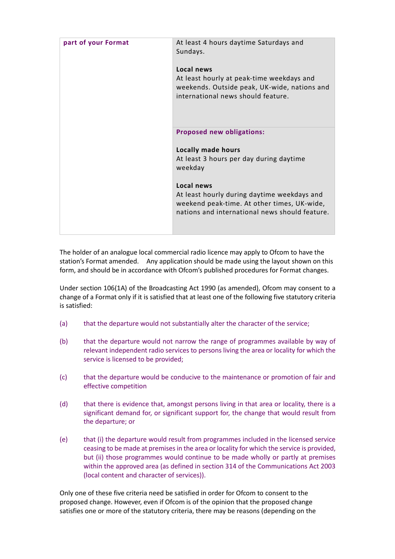| part of your Format | At least 4 hours daytime Saturdays and<br>Sundays.                                                                                            |
|---------------------|-----------------------------------------------------------------------------------------------------------------------------------------------|
|                     | Local news<br>At least hourly at peak-time weekdays and<br>weekends. Outside peak, UK-wide, nations and<br>international news should feature. |
|                     | <b>Proposed new obligations:</b>                                                                                                              |
|                     | <b>Locally made hours</b>                                                                                                                     |
|                     | At least 3 hours per day during daytime<br>weekday                                                                                            |
|                     | Local news                                                                                                                                    |
|                     | At least hourly during daytime weekdays and<br>weekend peak-time. At other times, UK-wide,<br>nations and international news should feature.  |

The holder of an analogue local commercial radio licence may apply to Ofcom to have the station's Format amended. Any application should be made using the layout shown on this form, and should be in accordance with Ofcom's published procedures for Format changes.

Under section 106(1A) of the Broadcasting Act 1990 (as amended), Ofcom may consent to a change of a Format only if it is satisfied that at least one of the following five statutory criteria is satisfied:

- (a) that the departure would not substantially alter the character of the service;
- (b) that the departure would not narrow the range of programmes available by way of relevant independent radio services to persons living the area or locality for which the service is licensed to be provided;
- (c) that the departure would be conducive to the maintenance or promotion of fair and effective competition
- (d) that there is evidence that, amongst persons living in that area or locality, there is a significant demand for, or significant support for, the change that would result from the departure; or
- (e) that (i) the departure would result from programmes included in the licensed service ceasing to be made at premises in the area or locality for which the service is provided, but (ii) those programmes would continue to be made wholly or partly at premises within the approved area (as defined in section 314 of the Communications Act 2003 (local content and character of services)).

Only one of these five criteria need be satisfied in order for Ofcom to consent to the proposed change. However, even if Ofcom is of the opinion that the proposed change satisfies one or more of the statutory criteria, there may be reasons (depending on the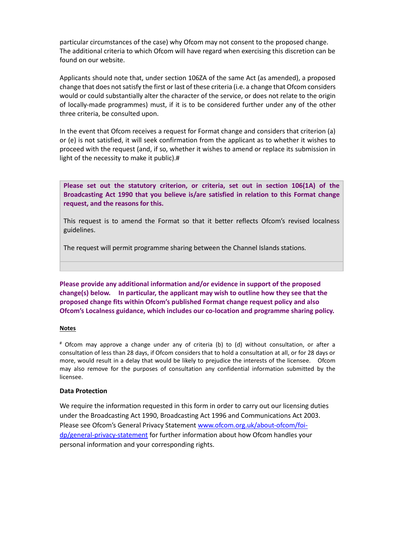particular circumstances of the case) why Ofcom may not consent to the proposed change. The additional criteria to which Ofcom will have regard when exercising this discretion can be found on our website.

Applicants should note that, under section 106ZA of the same Act (as amended), a proposed change that does not satisfy the first or last of these criteria (i.e. a change that Ofcom considers would or could substantially alter the character of the service, or does not relate to the origin of locally-made programmes) must, if it is to be considered further under any of the other three criteria, be consulted upon.

In the event that Ofcom receives a request for Format change and considers that criterion (a) or (e) is not satisfied, it will seek confirmation from the applicant as to whether it wishes to proceed with the request (and, if so, whether it wishes to amend or replace its submission in light of the necessity to make it public).#

**Please set out the statutory criterion, or criteria, set out in section 106(1A) of the Broadcasting Act 1990 that you believe is/are satisfied in relation to this Format change request, and the reasons for this.**

This request is to amend the Format so that it better reflects Ofcom's revised localness guidelines.

The request will permit programme sharing between the Channel Islands stations.

**Please provide any additional information and/or evidence in support of the proposed change(s) below. In particular, the applicant may wish to outline how they see that the proposed change fits within Ofcom's published Format change request policy and also Ofcom's Localness guidance, which includes our co-location and programme sharing policy.** 

### **Notes**

# Ofcom may approve a change under any of criteria (b) to (d) without consultation, or after a consultation of less than 28 days, if Ofcom considers that to hold a consultation at all, or for 28 days or more, would result in a delay that would be likely to prejudice the interests of the licensee. Ofcom may also remove for the purposes of consultation any confidential information submitted by the licensee.

### **Data Protection**

We require the information requested in this form in order to carry out our licensing duties under the Broadcasting Act 1990, Broadcasting Act 1996 and Communications Act 2003. Please see Ofcom's General Privacy Statement [www.ofcom.org.uk/about-ofcom/foi](file:///C:/Users/Jon.Heasman/Downloads/%22http:/)[dp/general-privacy-statement](file:///C:/Users/Jon.Heasman/Downloads/%22http:/) for further information about how Ofcom handles your personal information and your corresponding rights.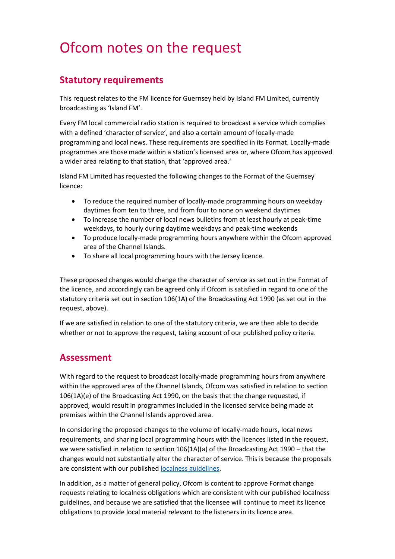# Ofcom notes on the request

## **Statutory requirements**

This request relates to the FM licence for Guernsey held by Island FM Limited, currently broadcasting as 'Island FM'.

Every FM local commercial radio station is required to broadcast a service which complies with a defined 'character of service', and also a certain amount of locally-made programming and local news. These requirements are specified in its Format. Locally-made programmes are those made within a station's licensed area or, where Ofcom has approved a wider area relating to that station, that 'approved area.'

Island FM Limited has requested the following changes to the Format of the Guernsey licence:

- To reduce the required number of locally-made programming hours on weekday daytimes from ten to three, and from four to none on weekend daytimes
- To increase the number of local news bulletins from at least hourly at peak-time weekdays, to hourly during daytime weekdays and peak-time weekends
- To produce locally-made programming hours anywhere within the Ofcom approved area of the Channel Islands.
- To share all local programming hours with the Jersey licence.

These proposed changes would change the character of service as set out in the Format of the licence, and accordingly can be agreed only if Ofcom is satisfied in regard to one of the statutory criteria set out in section 106(1A) of the Broadcasting Act 1990 (as set out in the request, above).

If we are satisfied in relation to one of the statutory criteria, we are then able to decide whether or not to approve the request, taking account of our published policy criteria.

### **Assessment**

With regard to the request to broadcast locally-made programming hours from anywhere within the approved area of the Channel Islands, Ofcom was satisfied in relation to section 106(1A)(e) of the Broadcasting Act 1990, on the basis that the change requested, if approved, would result in programmes included in the licensed service being made at premises within the Channel Islands approved area.

In considering the proposed changes to the volume of locally-made hours, local news requirements, and sharing local programming hours with the licences listed in the request, we were satisfied in relation to section 106(1A)(a) of the Broadcasting Act 1990 – that the changes would not substantially alter the character of service. This is because the proposals are consistent with our published [localness guidelines.](https://www.ofcom.org.uk/tv-radio-and-on-demand/information-for-industry/radio-broadcasters/localness)

In addition, as a matter of general policy, Ofcom is content to approve Format change requests relating to localness obligations which are consistent with our published localness guidelines, and because we are satisfied that the licensee will continue to meet its licence obligations to provide local material relevant to the listeners in its licence area.